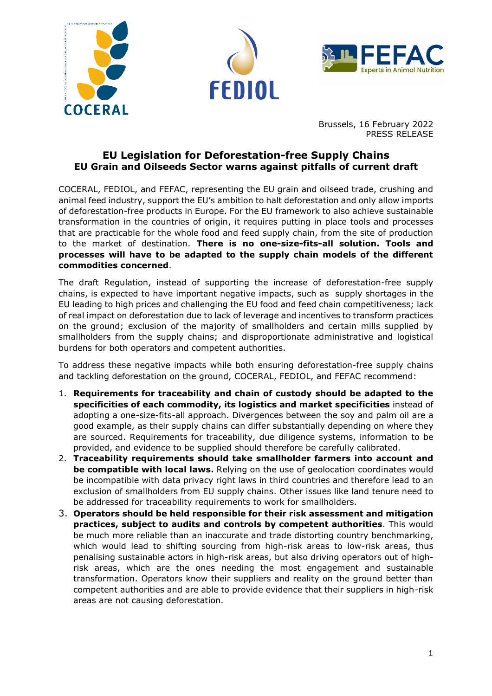





Brussels, 16 February 2022 PRESS RELEASE

## **EU Legislation for Deforestation-free Supply Chains EU Grain and Oilseeds Sector warns against pitfalls of current draft**

COCERAL, FEDIOL, and FEFAC, representing the EU grain and oilseed trade, crushing and animal feed industry, support the EU's ambition to halt deforestation and only allow imports of deforestation-free products in Europe. For the EU framework to also achieve sustainable transformation in the countries of origin, it requires putting in place tools and processes that are practicable for the whole food and feed supply chain, from the site of production to the market of destination. **There is no one-size-fits-all solution. Tools and processes will have to be adapted to the supply chain models of the different commodities concerned**.

The draft Regulation, instead of supporting the increase of deforestation-free supply chains, is expected to have important negative impacts, such as supply shortages in the EU leading to high prices and challenging the EU food and feed chain competitiveness; lack of real impact on deforestation due to lack of leverage and incentives to transform practices on the ground; exclusion of the majority of smallholders and certain mills supplied by smallholders from the supply chains; and disproportionate administrative and logistical burdens for both operators and competent authorities.

To address these negative impacts while both ensuring deforestation-free supply chains and tackling deforestation on the ground, COCERAL, FEDIOL, and FEFAC recommend:

- 1. **Requirements for traceability and chain of custody should be adapted to the specificities of each commodity, its logistics and market specificities** instead of adopting a one-size-fits-all approach. Divergences between the soy and palm oil are a good example, as their supply chains can differ substantially depending on where they are sourced. Requirements for traceability, due diligence systems, information to be provided, and evidence to be supplied should therefore be carefully calibrated.
- 2. **Traceability requirements should take smallholder farmers into account and be compatible with local laws.** Relying on the use of geolocation coordinates would be incompatible with data privacy right laws in third countries and therefore lead to an exclusion of smallholders from EU supply chains. Other issues like land tenure need to be addressed for traceability requirements to work for smallholders.
- 3. **Operators should be held responsible for their risk assessment and mitigation practices, subject to audits and controls by competent authorities**. This would be much more reliable than an inaccurate and trade distorting country benchmarking, which would lead to shifting sourcing from high-risk areas to low-risk areas, thus penalising sustainable actors in high-risk areas, but also driving operators out of highrisk areas, which are the ones needing the most engagement and sustainable transformation. Operators know their suppliers and reality on the ground better than competent authorities and are able to provide evidence that their suppliers in high-risk areas are not causing deforestation.